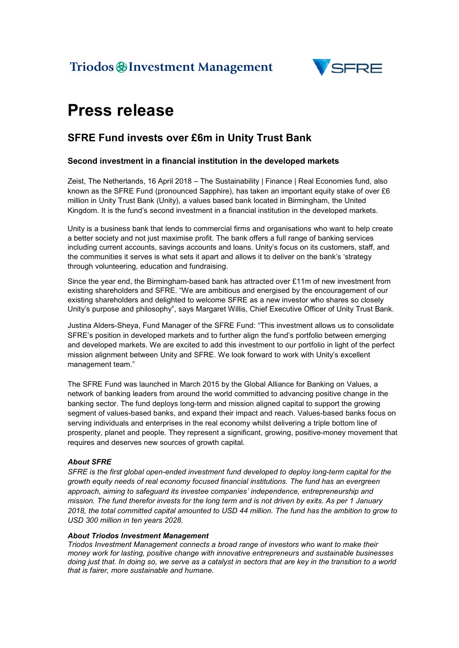

# Press release

### SFRE Fund invests over £6m in Unity Trust Bank

#### Second investment in a financial institution in the developed markets

Zeist, The Netherlands, 16 April 2018 – The Sustainability | Finance | Real Economies fund, also known as the SFRE Fund (pronounced Sapphire), has taken an important equity stake of over £6 million in Unity Trust Bank (Unity), a values based bank located in Birmingham, the United Kingdom. It is the fund's second investment in a financial institution in the developed markets.

Unity is a business bank that lends to commercial firms and organisations who want to help create a better society and not just maximise profit. The bank offers a full range of banking services including current accounts, savings accounts and loans. Unity's focus on its customers, staff, and the communities it serves is what sets it apart and allows it to deliver on the bank's 'strategy through volunteering, education and fundraising.

Since the year end, the Birmingham-based bank has attracted over £11m of new investment from existing shareholders and SFRE. "We are ambitious and energised by the encouragement of our existing shareholders and delighted to welcome SFRE as a new investor who shares so closely Unity's purpose and philosophy", says Margaret Willis, Chief Executive Officer of Unity Trust Bank.

Justina Alders-Sheya, Fund Manager of the SFRE Fund: "This investment allows us to consolidate SFRE's position in developed markets and to further align the fund's portfolio between emerging and developed markets. We are excited to add this investment to our portfolio in light of the perfect mission alignment between Unity and SFRE. We look forward to work with Unity's excellent management team."

The SFRE Fund was launched in March 2015 by the Global Alliance for Banking on Values, a network of banking leaders from around the world committed to advancing positive change in the banking sector. The fund deploys long-term and mission aligned capital to support the growing segment of values-based banks, and expand their impact and reach. Values-based banks focus on serving individuals and enterprises in the real economy whilst delivering a triple bottom line of prosperity, planet and people. They represent a significant, growing, positive-money movement that requires and deserves new sources of growth capital.

#### *About SFRE*

*SFRE is the first global open-ended investment fund developed to deploy long-term capital for the growth equity needs of real economy focused financial institutions. The fund has an evergreen approach, aiming to safeguard its investee companies' independence, entrepreneurship and mission. The fund therefor invests for the long term and is not driven by exits. As per 1 January 2018, the total committed capital amounted to USD 44 million. The fund has the ambition to grow to USD 300 million in ten years 2028.* 

#### *About Triodos Investment Management*

*Triodos Investment Management connects a broad range of investors who want to make their money work for lasting, positive change with innovative entrepreneurs and sustainable businesses doing just that. In doing so, we serve as a catalyst in sectors that are key in the transition to a world that is fairer, more sustainable and humane.*